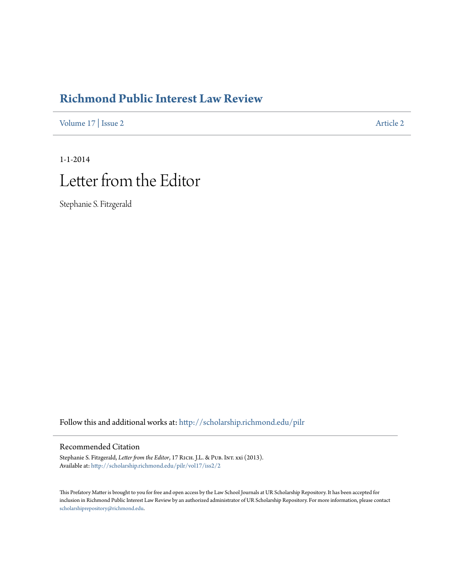## **[Richmond Public Interest Law Review](http://scholarship.richmond.edu/pilr?utm_source=scholarship.richmond.edu%2Fpilr%2Fvol17%2Fiss2%2F2&utm_medium=PDF&utm_campaign=PDFCoverPages)**

[Volume 17](http://scholarship.richmond.edu/pilr/vol17?utm_source=scholarship.richmond.edu%2Fpilr%2Fvol17%2Fiss2%2F2&utm_medium=PDF&utm_campaign=PDFCoverPages) | [Issue 2](http://scholarship.richmond.edu/pilr/vol17/iss2?utm_source=scholarship.richmond.edu%2Fpilr%2Fvol17%2Fiss2%2F2&utm_medium=PDF&utm_campaign=PDFCoverPages) [Article 2](http://scholarship.richmond.edu/pilr/vol17/iss2/2?utm_source=scholarship.richmond.edu%2Fpilr%2Fvol17%2Fiss2%2F2&utm_medium=PDF&utm_campaign=PDFCoverPages)

# 1-1-2014 Letter from the Editor

Stephanie S. Fitzgerald

Follow this and additional works at: [http://scholarship.richmond.edu/pilr](http://scholarship.richmond.edu/pilr?utm_source=scholarship.richmond.edu%2Fpilr%2Fvol17%2Fiss2%2F2&utm_medium=PDF&utm_campaign=PDFCoverPages)

### Recommended Citation

Stephanie S. Fitzgerald, *Letter from the Editor*, 17 RICH. J.L. & PUB. INT. xxi (2013). Available at: [http://scholarship.richmond.edu/pilr/vol17/iss2/2](http://scholarship.richmond.edu/pilr/vol17/iss2/2?utm_source=scholarship.richmond.edu%2Fpilr%2Fvol17%2Fiss2%2F2&utm_medium=PDF&utm_campaign=PDFCoverPages)

This Prefatory Matter is brought to you for free and open access by the Law School Journals at UR Scholarship Repository. It has been accepted for inclusion in Richmond Public Interest Law Review by an authorized administrator of UR Scholarship Repository. For more information, please contact [scholarshiprepository@richmond.edu.](mailto:scholarshiprepository@richmond.edu)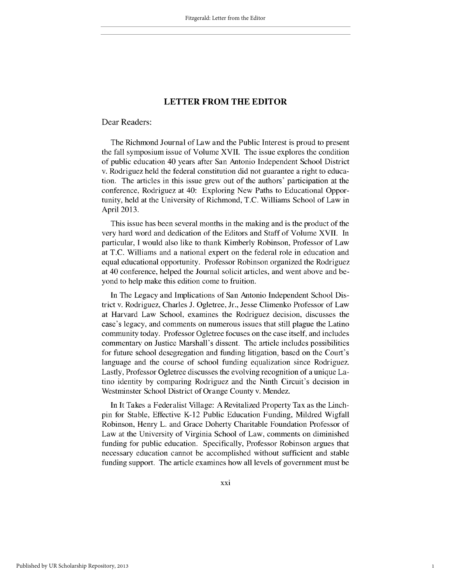#### **LETTER FROM THE EDITOR**

#### Dear Readers:

The Richmond Journal of Law and the Public Interest is proud to present the fall symposium issue of Volume XVII. The issue explores the condition of public education 40 years after San Antonio Independent School District v. Rodriguez held the federal constitution did not guarantee a right to education. The articles in this issue grew out of the authors' participation at the conference, Rodriguez at 40: Exploring New Paths to Educational Opportunity, held at the University of Richmond, **T.C.** Williams School of Law in April **2013.**

This issue has been several months in the making and is the product of the very hard word and dedication of the Editors and Staff of Volume XVII. In particular, **I** would also like to thank Kimberly Robinson, Professor of Law at **T.C.** Williams and a national expert on the federal role in education and equal educational opportunity. Professor Robinson organized the Rodriguez at 40 conference, helped the Journal solicit articles, and went above and beyond to help make this edition come to fruition.

In The Legacy and Implications of San Antonio Independent School District v. Rodriguez, Charles **J.** Ogletree, Jr., Jesse Climenko Professor of Law at Harvard Law School, examines the Rodriguez decision, discusses the case's legacy, and comments on numerous issues that still plague the Latino community today. Professor Ogletree focuses on the case itself, and includes commentary on Justice Marshall's dissent. The article includes possibilities for future school desegregation and funding litigation, based on the Court's language and the course of school funding equalization since Rodriguez. Lastly, Professor Ogletree discusses the evolving recognition of a unique Latino identity **by** comparing Rodriguez and the Ninth Circuit's decision in Westminster School District of Orange County v. Mendez.

In It Takes a Federalist Village: **A** Revitalized Property Tax as the Linchpin for Stable, Effective K-12 Public Education Funding, Mildred Wigfall Robinson, Henry L. and Grace Doherty Charitable Foundation Professor of Law at the University of Virginia School of Law, comments on diminished funding for public education. Specifically, Professor Robinson argues that necessary education cannot be accomplished without sufficient and stable funding support. The article examines how all levels of government must be

1